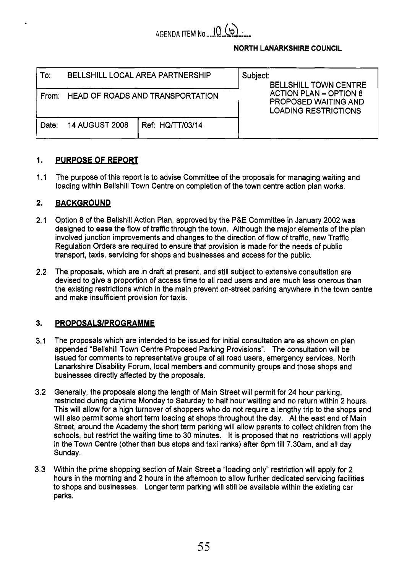

# **NORTH LANARKSHIRE COUNCIL**

| To:   | BELLSHILL LOCAL AREA PARTNERSHIP        |                  | Subject:<br><b>BELLSHILL TOWN CENTRE</b><br><b>ACTION PLAN - OPTION 8</b><br><b>PROPOSED WAITING AND</b><br><b>LOADING RESTRICTIONS</b> |
|-------|-----------------------------------------|------------------|-----------------------------------------------------------------------------------------------------------------------------------------|
| From: | <b>HEAD OF ROADS AND TRANSPORTATION</b> |                  |                                                                                                                                         |
| Date: | <b>14 AUGUST 2008</b>                   | Ref: HQ/TT/03/14 |                                                                                                                                         |

### **1. PURPOSE OF REPORT**

 $1.1$ The purpose of this report is to advise Committee of the proposals for managing waiting and loading within Bellshill Town Centre on completion of the town centre action plan works.

#### **2. BACKGROUND**

- 2.1 Option *8* of the Bellshill Action Plan, approved by the P&E Committee in January 2002 was designed to ease the flow of traffic through the town. Although the major elements of the plan involved junction improvements and changes to the direction of flow of traffic, new Traffic Regulation Orders are required to ensure that provision is made for the needs of public transport, taxis, servicing for shops and businesses and access for the public.
- 2.2 The proposals, which are in draft at present, and still subject to extensive consultation are devised to give a proportion of access time to all road users and are much less onerous than the existing restrictions which in the main prevent on-street parking anywhere in the town centre and make insufficient provision for taxis.

#### **3. PROPOSALS/PROGRAMME**

- 3.1 The proposals which are intended to be issued for initial consultation are as shown on plan appended "Bellshill Town Centre Proposed Parking Provisions". The consultation will be issued for comments to representative groups of all road users, emergency services, North Lanarkshire Disability Forum, local members and community groups and those shops and businesses directly affected by the proposals.
- 3.2 Generally, the proposals along the length of Main Street will permit for 24 hour parking, restricted during daytime Monday to Saturday to half hour waiting and no return within **2** hours. This will allow for a high turnover of shoppers who do not require a lengthy trip to the shops and will also permit some short term loading at shops throughout the day. At the east end of Main Street, around the Academy the short term parking will allow parents to collect children from the schools, but restrict the waiting time to 30 minutes. It is proposed that no restrictions will apply in the Town Centre (other than bus stops and taxi ranks) after 6pm till 7.30am, and all day Sunday.
- 3.3 Within the prime shopping section of Main Street a "loading only" restriction will apply for 2 hours in the morning and 2 hours in the afternoon to allow further dedicated servicing facilities to shops and businesses. Longer term parking will still be available within the existing car parks.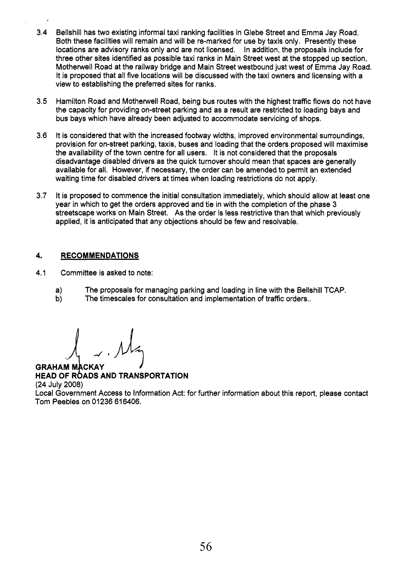- 3.4 Bellshill has two existing informal taxi ranking facilities in Glebe Street and Emma Jay Road. Both these facilities will remain and will be re-marked for use by taxis only. Presently these locations are advisory ranks only and are not licensed. In addition, the proposals include for three other sites identified as possible taxi ranks in Main Street west at the stopped up section, Motherwell Road at the railway bridge and Main Street westbound just west of Emma Jay Road. It is proposed that all five locations will be discussed with the taxi owners and licensing with a view to establishing the preferred sites for ranks.
- 3.5 Hamilton Road and Motherwell Road, being bus routes with the highest traffic flows do not have the capacity for providing on-street parking and as a result are restricted to loading bays and bus bays which have already been adjusted to accommodate servicing of shops.
- 3.6 It is considered that with the increased footway widths, improved environmental surroundings, provision for on-street parking, taxis, buses and loading that the orders proposed will maximise the availability of the town centre for all users. It is not considered that the proposals disadvantage disabled drivers as the quick turnover should mean that spaces are generally available for all. However, if necessary, the order can be amended to permit an extended waiting time for disabled drivers at times when loading restrictions do not apply.
- 3.7 It is proposed to commence the initial consultation immediately, which should allow at least one year in which to get the orders approved and tie in with the completion of the phase 3 streetscape works on Main Street. As the order is less restrictive than that which previously applied, it is anticipated that any objections should be few and resolvable.

## **4. RECOMMENDATIONS**

- 4.1 Committee is asked to note:
	- a) The proposals for managing parking and loading in line with the Bellshill TCAP.
	- b) The timescales for consultation and implementation of traffic orders..

**GRAHAM MACKAY HEAD OF ROADS AND TRANSPORTATION** (24 July 2008) Local Government Access to Information Act: for further information about this report, please contact Tom Peebles on 01236 616406.